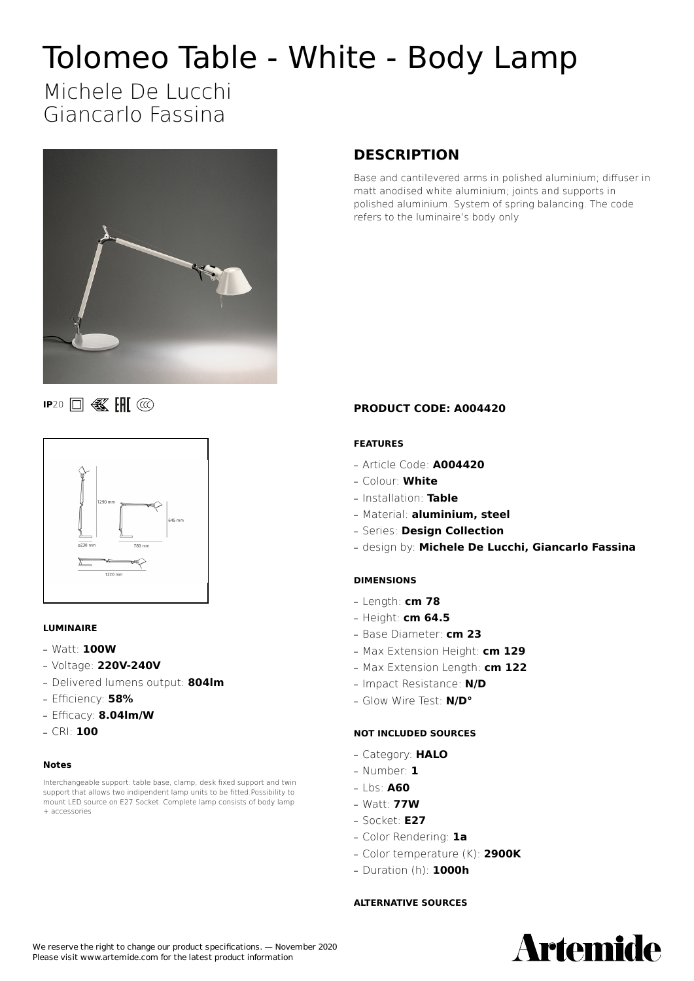# Tolomeo Table - White - Body Lamp

## Michele De Lucchi Giancarlo Fassina



### **DESCRIPTION**

Base and cantilevered arms in polished aluminium; diffuser in matt anodised white aluminium; joints and supports in polished aluminium. System of spring balancing. The code refers to the luminaire's body only

#### **IP**20 **0 级 HI** @



#### **LUMINAIRE**

- **—** Watt: **100W**
- **—** Voltage: **220V-240V**
- **—** Delivered lumens output: **804lm**
- **—** Efficiency: **58%**
- **—** Efficacy: **8.04lm/W**
- **—** CRI: **100**

#### **Notes**

Interchangeable support: table base, clamp, desk fixed support and twin support that allows two indipendent lamp units to be fitted.Possibility to mount LED source on E27 Socket. Complete lamp consists of body lamp + accessories

#### **PRODUCT CODE: A004420**

#### **FEATURES**

- **—** Article Code: **A004420**
- **—** Colour: **White**
- **—** Installation: **Table**
- **—** Material: **aluminium, steel**
- **—** Series: **Design Collection**
- **—** design by: **Michele De Lucchi, Giancarlo Fassina**

#### **DIMENSIONS**

- **—** Length: **cm 78**
- **—** Height: **cm 64.5**
- **—** Base Diameter: **cm 23**
- **—** Max Extension Height: **cm 129**
- **—** Max Extension Length: **cm 122**
- **—** Impact Resistance: **N/D**
- **—** Glow Wire Test: **N/D°**

#### **NOT INCLUDED SOURCES**

- **—** Category: **HALO**
- **—** Number: **1**
- **—** Lbs: **A60**
- **—** Watt: **77W**
- **—** Socket: **E27**
- **—** Color Rendering: **1a**
- **—** Color temperature (K): **2900K**
- **—** Duration (h): **1000h**

#### **ALTERNATIVE SOURCES**